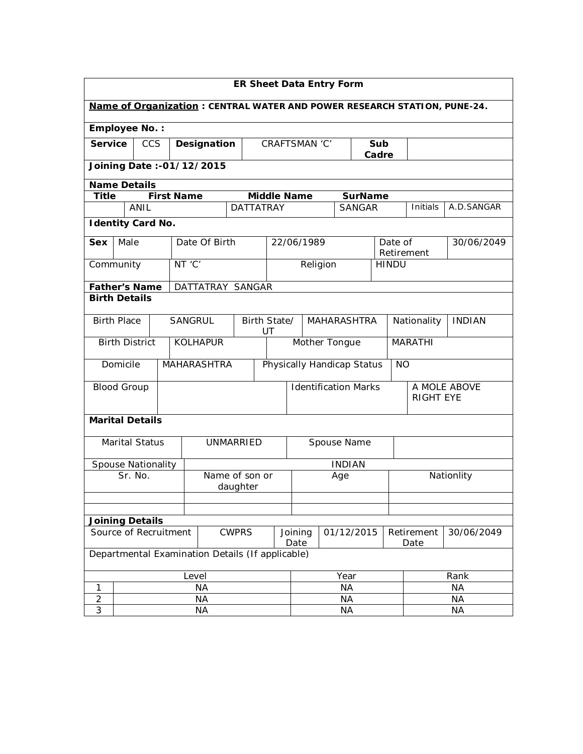| <b>ER Sheet Data Entry Form</b>                                          |                                                  |  |                   |                  |                               |                                          |                        |                            |                                  |                |                  |               |
|--------------------------------------------------------------------------|--------------------------------------------------|--|-------------------|------------------|-------------------------------|------------------------------------------|------------------------|----------------------------|----------------------------------|----------------|------------------|---------------|
| Name of Organization: CENTRAL WATER AND POWER RESEARCH STATION, PUNE-24. |                                                  |  |                   |                  |                               |                                          |                        |                            |                                  |                |                  |               |
| <b>Employee No.:</b>                                                     |                                                  |  |                   |                  |                               |                                          |                        |                            |                                  |                |                  |               |
|                                                                          | <b>Service</b><br><b>CCS</b><br>Designation      |  |                   |                  |                               |                                          | CRAFTSMAN 'C'          |                            |                                  | Sub<br>Cadre   |                  |               |
|                                                                          | Joining Date:-01/12/2015                         |  |                   |                  |                               |                                          |                        |                            |                                  |                |                  |               |
|                                                                          | <b>Name Details</b>                              |  |                   |                  |                               |                                          |                        |                            |                                  |                |                  |               |
| <b>Title</b>                                                             |                                                  |  | <b>First Name</b> |                  |                               |                                          | <b>Middle Name</b>     |                            | <b>SurName</b>                   |                | <b>Initials</b>  |               |
|                                                                          | ANIL                                             |  |                   |                  | <b>DATTATRAY</b>              |                                          |                        |                            | <b>SANGAR</b>                    |                |                  | A.D.SANGAR    |
|                                                                          | <b>Identity Card No.</b>                         |  |                   |                  |                               |                                          |                        |                            |                                  |                |                  |               |
| Sex                                                                      | Male                                             |  |                   | Date Of Birth    |                               |                                          | 22/06/1989             |                            |                                  | Date of        | Retirement       | 30/06/2049    |
|                                                                          | Community                                        |  | NT 'C'            |                  |                               |                                          |                        | Religion                   |                                  | <b>HINDU</b>   |                  |               |
|                                                                          | <b>Father's Name</b>                             |  |                   | DATTATRAY SANGAR |                               |                                          |                        |                            |                                  |                |                  |               |
|                                                                          | <b>Birth Details</b>                             |  |                   |                  |                               |                                          |                        |                            |                                  |                |                  |               |
|                                                                          | <b>Birth Place</b><br><b>SANGRUL</b>             |  |                   |                  |                               | Birth State/<br><b>MAHARASHTRA</b><br>UT |                        |                            | Nationality                      |                |                  | <b>INDIAN</b> |
|                                                                          | <b>Birth District</b>                            |  |                   | <b>KOLHAPUR</b>  |                               | Mother Tongue                            |                        |                            |                                  | <b>MARATHI</b> |                  |               |
|                                                                          | Domicile                                         |  |                   | MAHARASHTRA      |                               |                                          |                        | Physically Handicap Status |                                  |                | <b>NO</b>        |               |
|                                                                          | <b>Blood Group</b>                               |  |                   |                  |                               | <b>Identification Marks</b>              |                        |                            |                                  |                |                  | A MOLE ABOVE  |
|                                                                          |                                                  |  |                   |                  |                               |                                          |                        |                            |                                  |                | <b>RIGHT EYE</b> |               |
|                                                                          | <b>Marital Details</b>                           |  |                   |                  |                               |                                          |                        |                            |                                  |                |                  |               |
|                                                                          | <b>Marital Status</b>                            |  |                   | UNMARRIED        |                               |                                          |                        | Spouse Name                |                                  |                |                  |               |
|                                                                          | Spouse Nationality                               |  |                   |                  |                               |                                          |                        | <b>INDIAN</b>              |                                  |                |                  |               |
|                                                                          | Sr. No.                                          |  |                   | Name of son or   |                               |                                          | Age                    |                            |                                  |                | Nationlity       |               |
|                                                                          |                                                  |  |                   |                  | daughter                      |                                          |                        |                            |                                  |                |                  |               |
|                                                                          |                                                  |  |                   |                  |                               |                                          |                        |                            |                                  |                |                  |               |
|                                                                          | <b>Joining Details</b>                           |  |                   |                  |                               |                                          |                        |                            |                                  |                |                  |               |
| Source of Recruitment<br><b>CWPRS</b>                                    |                                                  |  |                   |                  | 01/12/2015<br>Joining<br>Date |                                          |                        |                            | Retirement<br>30/06/2049<br>Date |                |                  |               |
|                                                                          | Departmental Examination Details (If applicable) |  |                   |                  |                               |                                          |                        |                            |                                  |                |                  |               |
|                                                                          | Level                                            |  |                   |                  | Year                          |                                          |                        |                            | Rank                             |                |                  |               |
| 1                                                                        | <b>NA</b>                                        |  |                   |                  | <b>NA</b>                     |                                          |                        |                            | <b>NA</b>                        |                |                  |               |
| $\overline{2}$<br>3                                                      |                                                  |  |                   | NА               |                               |                                          | <b>NA</b>              |                            |                                  |                | <b>NA</b>        |               |
|                                                                          | <b>NA</b>                                        |  |                   |                  |                               |                                          | <b>NA</b><br><b>NA</b> |                            |                                  |                |                  |               |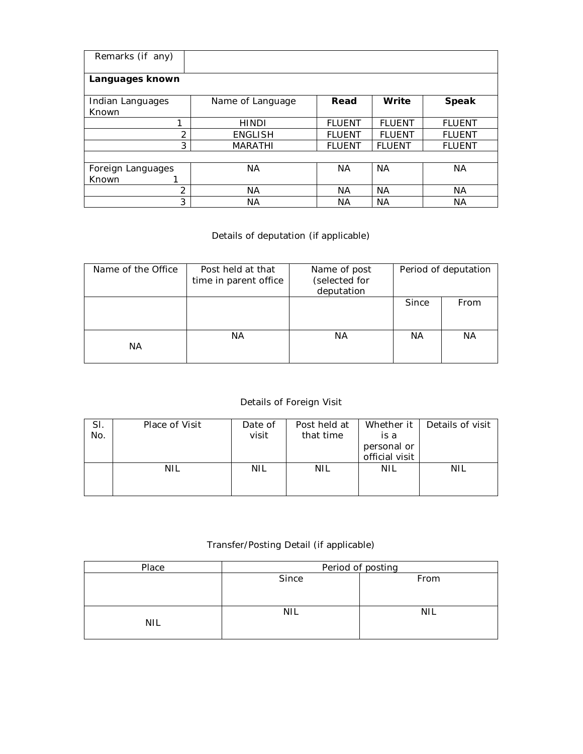| Remarks (if any)  |                  |               |               |               |  |  |  |  |  |  |  |  |
|-------------------|------------------|---------------|---------------|---------------|--|--|--|--|--|--|--|--|
| Languages known   |                  |               |               |               |  |  |  |  |  |  |  |  |
| Indian Languages  | Name of Language | Read          | Write         | <b>Speak</b>  |  |  |  |  |  |  |  |  |
| Known             |                  |               |               |               |  |  |  |  |  |  |  |  |
| 1                 | <b>HINDI</b>     | <b>FLUENT</b> | <b>FLUENT</b> | <b>FLUENT</b> |  |  |  |  |  |  |  |  |
| 2                 | <b>ENGLISH</b>   | <b>FLUENT</b> | <b>FLUENT</b> | <b>FLUENT</b> |  |  |  |  |  |  |  |  |
| 3                 | <b>MARATHI</b>   | <b>FLUENT</b> | <b>FLUENT</b> | <b>FLUENT</b> |  |  |  |  |  |  |  |  |
|                   |                  |               |               |               |  |  |  |  |  |  |  |  |
| Foreign Languages | <b>NA</b>        | <b>NA</b>     | <b>NA</b>     | <b>NA</b>     |  |  |  |  |  |  |  |  |
| Known             |                  |               |               |               |  |  |  |  |  |  |  |  |
| 2                 | <b>NA</b>        | NА            | NА            | <b>NA</b>     |  |  |  |  |  |  |  |  |
| 3                 | ΝA               | ΝA            | <b>NA</b>     | ΝA            |  |  |  |  |  |  |  |  |

## Details of deputation (if applicable)

| Name of the Office | Post held at that<br>time in parent office | Name of post<br>(selected for<br>deputation | Period of deputation |      |  |
|--------------------|--------------------------------------------|---------------------------------------------|----------------------|------|--|
|                    |                                            |                                             | Since                | From |  |
| NA.                | ΝA                                         | ΝA                                          | ΝA                   | NA.  |  |

## Details of Foreign Visit

| SI.<br>No. | Place of Visit | Date of<br>visit | Post held at<br>that time | is a<br>personal or<br>official visit | Whether it   Details of visit |
|------------|----------------|------------------|---------------------------|---------------------------------------|-------------------------------|
|            | NIL            | <b>NIL</b>       | <b>NIL</b>                | <b>NIL</b>                            | <b>NIL</b>                    |

## Transfer/Posting Detail (if applicable)

| Place      | Period of posting |      |  |  |  |  |
|------------|-------------------|------|--|--|--|--|
|            | Since             | From |  |  |  |  |
|            |                   |      |  |  |  |  |
|            | NIL               | NIL  |  |  |  |  |
| <b>NIL</b> |                   |      |  |  |  |  |
|            |                   |      |  |  |  |  |